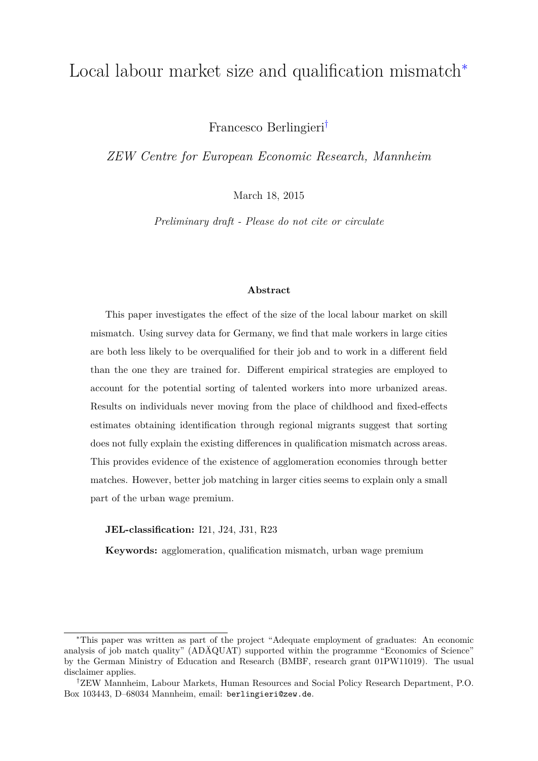## Local labour market size and qualification mismatch[∗](#page-0-0)

Francesco Berlingieri[†](#page-0-1)

*ZEW Centre for European Economic Research, Mannheim*

March 18, 2015

*Preliminary draft - Please do not cite or circulate*

#### **Abstract**

This paper investigates the effect of the size of the local labour market on skill mismatch. Using survey data for Germany, we find that male workers in large cities are both less likely to be overqualified for their job and to work in a different field than the one they are trained for. Different empirical strategies are employed to account for the potential sorting of talented workers into more urbanized areas. Results on individuals never moving from the place of childhood and fixed-effects estimates obtaining identification through regional migrants suggest that sorting does not fully explain the existing differences in qualification mismatch across areas. This provides evidence of the existence of agglomeration economies through better matches. However, better job matching in larger cities seems to explain only a small part of the urban wage premium.

#### **JEL-classification:** I21, J24, J31, R23

**Keywords:** agglomeration, qualification mismatch, urban wage premium

<span id="page-0-0"></span><sup>∗</sup>This paper was written as part of the project "Adequate employment of graduates: An economic analysis of job match quality" (ADÄQUAT) supported within the programme "Economics of Science" by the German Ministry of Education and Research (BMBF, research grant 01PW11019). The usual disclaimer applies.

<span id="page-0-1"></span><sup>†</sup>ZEW Mannheim, Labour Markets, Human Resources and Social Policy Research Department, P.O. Box 103443, D–68034 Mannheim, email: berlingieri@zew.de.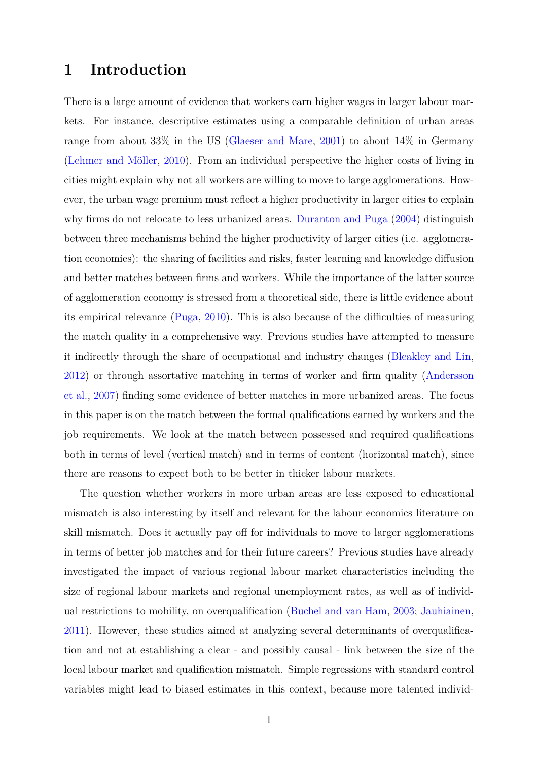### **1 Introduction**

There is a large amount of evidence that workers earn higher wages in larger labour markets. For instance, descriptive estimates using a comparable definition of urban areas range from about 33% in the US [\(Glaeser and Mare,](#page-20-0) [2001\)](#page-20-0) to about 14% in Germany [\(Lehmer and Möller,](#page-20-1) [2010\)](#page-20-1). From an individual perspective the higher costs of living in cities might explain why not all workers are willing to move to large agglomerations. However, the urban wage premium must reflect a higher productivity in larger cities to explain why firms do not relocate to less urbanized areas. [Duranton and Puga](#page-20-2) [\(2004\)](#page-20-2) distinguish between three mechanisms behind the higher productivity of larger cities (i.e. agglomeration economies): the sharing of facilities and risks, faster learning and knowledge diffusion and better matches between firms and workers. While the importance of the latter source of agglomeration economy is stressed from a theoretical side, there is little evidence about its empirical relevance [\(Puga,](#page-21-0) [2010\)](#page-21-0). This is also because of the difficulties of measuring the match quality in a comprehensive way. Previous studies have attempted to measure it indirectly through the share of occupational and industry changes [\(Bleakley and Lin,](#page-19-0) [2012\)](#page-19-0) or through assortative matching in terms of worker and firm quality [\(Andersson](#page-19-1) [et al.,](#page-19-1) [2007\)](#page-19-1) finding some evidence of better matches in more urbanized areas. The focus in this paper is on the match between the formal qualifications earned by workers and the job requirements. We look at the match between possessed and required qualifications both in terms of level (vertical match) and in terms of content (horizontal match), since there are reasons to expect both to be better in thicker labour markets.

The question whether workers in more urban areas are less exposed to educational mismatch is also interesting by itself and relevant for the labour economics literature on skill mismatch. Does it actually pay off for individuals to move to larger agglomerations in terms of better job matches and for their future careers? Previous studies have already investigated the impact of various regional labour market characteristics including the size of regional labour markets and regional unemployment rates, as well as of individual restrictions to mobility, on overqualification [\(Buchel and van Ham,](#page-19-2) [2003;](#page-19-2) [Jauhiainen,](#page-20-3) [2011\)](#page-20-3). However, these studies aimed at analyzing several determinants of overqualification and not at establishing a clear - and possibly causal - link between the size of the local labour market and qualification mismatch. Simple regressions with standard control variables might lead to biased estimates in this context, because more talented individ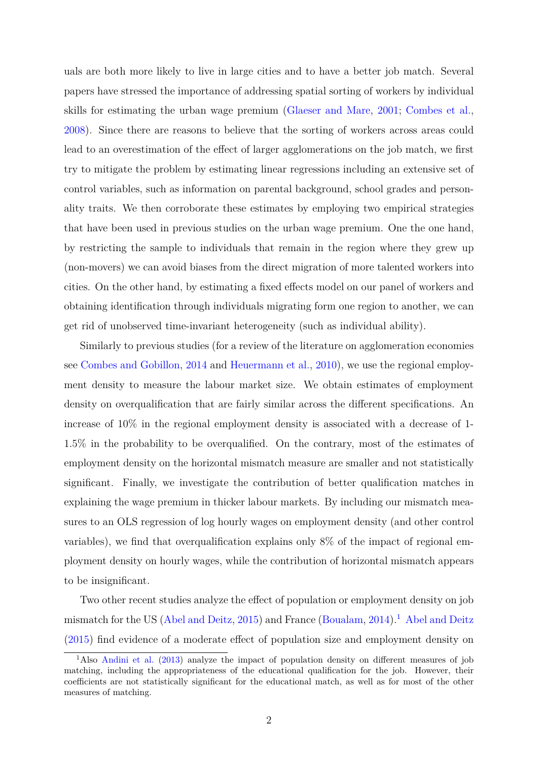uals are both more likely to live in large cities and to have a better job match. Several papers have stressed the importance of addressing spatial sorting of workers by individual skills for estimating the urban wage premium [\(Glaeser and Mare,](#page-20-0) [2001;](#page-20-0) [Combes et al.,](#page-19-3) [2008\)](#page-19-3). Since there are reasons to believe that the sorting of workers across areas could lead to an overestimation of the effect of larger agglomerations on the job match, we first try to mitigate the problem by estimating linear regressions including an extensive set of control variables, such as information on parental background, school grades and personality traits. We then corroborate these estimates by employing two empirical strategies that have been used in previous studies on the urban wage premium. One the one hand, by restricting the sample to individuals that remain in the region where they grew up (non-movers) we can avoid biases from the direct migration of more talented workers into cities. On the other hand, by estimating a fixed effects model on our panel of workers and obtaining identification through individuals migrating form one region to another, we can get rid of unobserved time-invariant heterogeneity (such as individual ability).

Similarly to previous studies (for a review of the literature on agglomeration economies see [Combes and Gobillon,](#page-19-4) [2014](#page-19-4) and [Heuermann et al.,](#page-20-4) [2010\)](#page-20-4), we use the regional employment density to measure the labour market size. We obtain estimates of employment density on overqualification that are fairly similar across the different specifications. An increase of 10% in the regional employment density is associated with a decrease of 1- 1.5% in the probability to be overqualified. On the contrary, most of the estimates of employment density on the horizontal mismatch measure are smaller and not statistically significant. Finally, we investigate the contribution of better qualification matches in explaining the wage premium in thicker labour markets. By including our mismatch measures to an OLS regression of log hourly wages on employment density (and other control variables), we find that overqualification explains only 8% of the impact of regional employment density on hourly wages, while the contribution of horizontal mismatch appears to be insignificant.

Two other recent studies analyze the effect of population or employment density on job mismatch for the US [\(Abel and Deitz,](#page-19-5) [2015\)](#page-19-5) and France [\(Boualam,](#page-19-6) [2014\)](#page-19-6).<sup>[1](#page-2-0)</sup> [Abel and Deitz](#page-19-5) [\(2015\)](#page-19-5) find evidence of a moderate effect of population size and employment density on

<span id="page-2-0"></span><sup>&</sup>lt;sup>1</sup>Also [Andini et al.](#page-19-7) [\(2013\)](#page-19-7) analyze the impact of population density on different measures of job matching, including the appropriateness of the educational qualification for the job. However, their coefficients are not statistically significant for the educational match, as well as for most of the other measures of matching.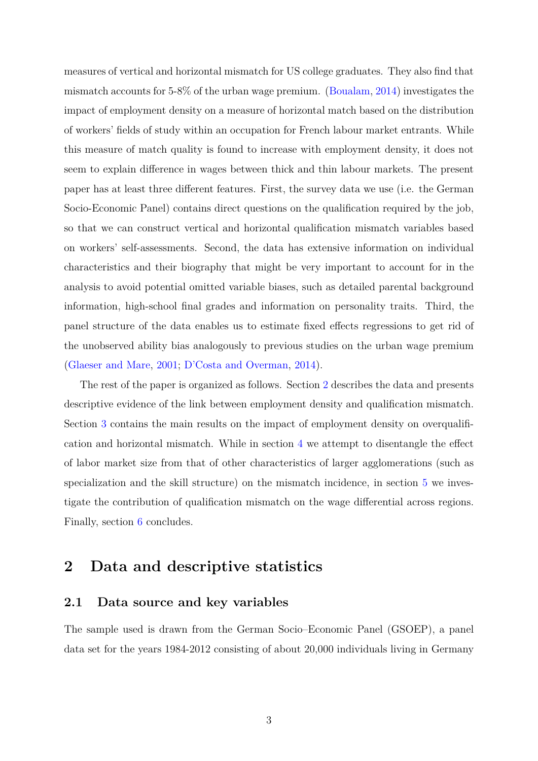measures of vertical and horizontal mismatch for US college graduates. They also find that mismatch accounts for 5-8% of the urban wage premium. [\(Boualam,](#page-19-6) [2014\)](#page-19-6) investigates the impact of employment density on a measure of horizontal match based on the distribution of workers' fields of study within an occupation for French labour market entrants. While this measure of match quality is found to increase with employment density, it does not seem to explain difference in wages between thick and thin labour markets. The present paper has at least three different features. First, the survey data we use (i.e. the German Socio-Economic Panel) contains direct questions on the qualification required by the job, so that we can construct vertical and horizontal qualification mismatch variables based on workers' self-assessments. Second, the data has extensive information on individual characteristics and their biography that might be very important to account for in the analysis to avoid potential omitted variable biases, such as detailed parental background information, high-school final grades and information on personality traits. Third, the panel structure of the data enables us to estimate fixed effects regressions to get rid of the unobserved ability bias analogously to previous studies on the urban wage premium [\(Glaeser and Mare,](#page-20-0) [2001;](#page-20-0) [D'Costa and Overman,](#page-19-8) [2014\)](#page-19-8).

The rest of the paper is organized as follows. Section [2](#page-3-0) describes the data and presents descriptive evidence of the link between employment density and qualification mismatch. Section [3](#page-6-0) contains the main results on the impact of employment density on overqualification and horizontal mismatch. While in section [4](#page-14-0) we attempt to disentangle the effect of labor market size from that of other characteristics of larger agglomerations (such as specialization and the skill structure) on the mismatch incidence, in section [5](#page-16-0) we investigate the contribution of qualification mismatch on the wage differential across regions. Finally, section [6](#page-18-0) concludes.

### <span id="page-3-0"></span>**2 Data and descriptive statistics**

#### **2.1 Data source and key variables**

The sample used is drawn from the German Socio–Economic Panel (GSOEP), a panel data set for the years 1984-2012 consisting of about 20,000 individuals living in Germany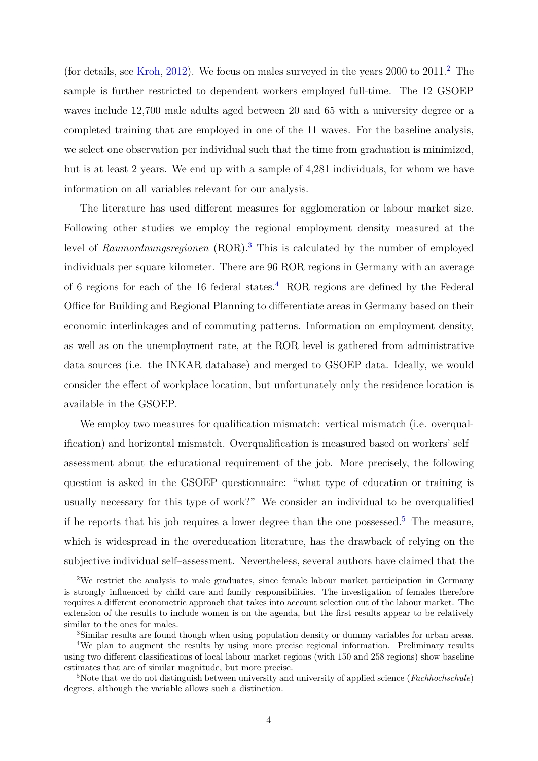(for details, see [Kroh,](#page-20-5) [2012\)](#page-20-5). We focus on males surveyed in the years  $2000$  $2000$  to  $2011<sup>2</sup>$ . The sample is further restricted to dependent workers employed full-time. The 12 GSOEP waves include 12,700 male adults aged between 20 and 65 with a university degree or a completed training that are employed in one of the 11 waves. For the baseline analysis, we select one observation per individual such that the time from graduation is minimized, but is at least 2 years. We end up with a sample of 4,281 individuals, for whom we have information on all variables relevant for our analysis.

The literature has used different measures for agglomeration or labour market size. Following other studies we employ the regional employment density measured at the level of *Raumordnungsregionen* (ROR).[3](#page-4-1) This is calculated by the number of employed individuals per square kilometer. There are 96 ROR regions in Germany with an average of 6 regions for each of the 16 federal states.<sup>[4](#page-4-2)</sup> ROR regions are defined by the Federal Office for Building and Regional Planning to differentiate areas in Germany based on their economic interlinkages and of commuting patterns. Information on employment density, as well as on the unemployment rate, at the ROR level is gathered from administrative data sources (i.e. the INKAR database) and merged to GSOEP data. Ideally, we would consider the effect of workplace location, but unfortunately only the residence location is available in the GSOEP.

We employ two measures for qualification mismatch: vertical mismatch (i.e. overqualification) and horizontal mismatch. Overqualification is measured based on workers' self– assessment about the educational requirement of the job. More precisely, the following question is asked in the GSOEP questionnaire: "what type of education or training is usually necessary for this type of work?" We consider an individual to be overqualified if he reports that his job requires a lower degree than the one possessed.<sup>[5](#page-4-3)</sup> The measure, which is widespread in the overeducation literature, has the drawback of relying on the subjective individual self–assessment. Nevertheless, several authors have claimed that the

<span id="page-4-0"></span><sup>2</sup>We restrict the analysis to male graduates, since female labour market participation in Germany is strongly influenced by child care and family responsibilities. The investigation of females therefore requires a different econometric approach that takes into account selection out of the labour market. The extension of the results to include women is on the agenda, but the first results appear to be relatively similar to the ones for males.

<span id="page-4-2"></span><span id="page-4-1"></span><sup>&</sup>lt;sup>3</sup>Similar results are found though when using population density or dummy variables for urban areas.

<sup>4</sup>We plan to augment the results by using more precise regional information. Preliminary results using two different classifications of local labour market regions (with 150 and 258 regions) show baseline estimates that are of similar magnitude, but more precise.

<span id="page-4-3"></span><sup>5</sup>Note that we do not distinguish between university and university of applied science (*Fachhochschule*) degrees, although the variable allows such a distinction.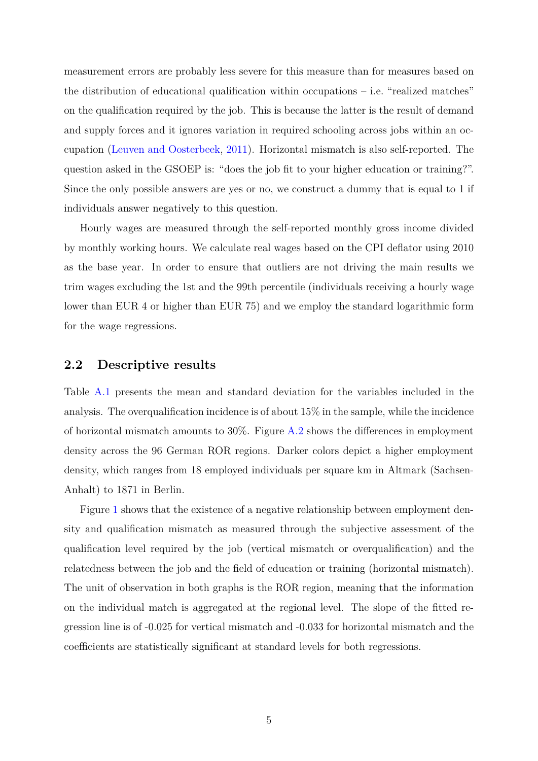measurement errors are probably less severe for this measure than for measures based on the distribution of educational qualification within occupations – i.e. "realized matches" on the qualification required by the job. This is because the latter is the result of demand and supply forces and it ignores variation in required schooling across jobs within an occupation [\(Leuven and Oosterbeek,](#page-20-6) [2011\)](#page-20-6). Horizontal mismatch is also self-reported. The question asked in the GSOEP is: "does the job fit to your higher education or training?". Since the only possible answers are yes or no, we construct a dummy that is equal to 1 if individuals answer negatively to this question.

Hourly wages are measured through the self-reported monthly gross income divided by monthly working hours. We calculate real wages based on the CPI deflator using 2010 as the base year. In order to ensure that outliers are not driving the main results we trim wages excluding the 1st and the 99th percentile (individuals receiving a hourly wage lower than EUR 4 or higher than EUR 75) and we employ the standard logarithmic form for the wage regressions.

### **2.2 Descriptive results**

Table [A.1](#page-23-0) presents the mean and standard deviation for the variables included in the analysis. The overqualification incidence is of about 15% in the sample, while the incidence of horizontal mismatch amounts to 30%. Figure [A.2](#page-22-0) shows the differences in employment density across the 96 German ROR regions. Darker colors depict a higher employment density, which ranges from 18 employed individuals per square km in Altmark (Sachsen-Anhalt) to 1871 in Berlin.

Figure [1](#page-6-1) shows that the existence of a negative relationship between employment density and qualification mismatch as measured through the subjective assessment of the qualification level required by the job (vertical mismatch or overqualification) and the relatedness between the job and the field of education or training (horizontal mismatch). The unit of observation in both graphs is the ROR region, meaning that the information on the individual match is aggregated at the regional level. The slope of the fitted regression line is of -0.025 for vertical mismatch and -0.033 for horizontal mismatch and the coefficients are statistically significant at standard levels for both regressions.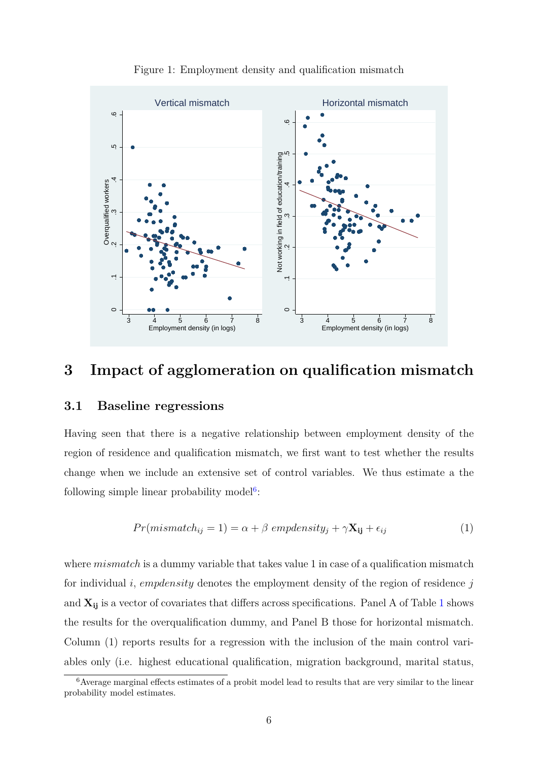<span id="page-6-1"></span>

Figure 1: Employment density and qualification mismatch

### <span id="page-6-0"></span>**3 Impact of agglomeration on qualification mismatch**

### **3.1 Baseline regressions**

Having seen that there is a negative relationship between employment density of the region of residence and qualification mismatch, we first want to test whether the results change when we include an extensive set of control variables. We thus estimate a the following simple linear probability model<sup>[6](#page-6-2)</sup>:

$$
Pr(mismatch_{ij} = 1) = \alpha + \beta \; empelensity_j + \gamma \mathbf{X_{ij}} + \epsilon_{ij}
$$
\n
$$
(1)
$$

where *mismatch* is a dummy variable that takes value 1 in case of a qualification mismatch for individual *i*, *empdensity* denotes the employment density of the region of residence *j* and  $X_{ij}$  is a vector of covariates that differs across specifications. Panel A of Table [1](#page-7-0) shows the results for the overqualification dummy, and Panel B those for horizontal mismatch. Column (1) reports results for a regression with the inclusion of the main control variables only (i.e. highest educational qualification, migration background, marital status,

<span id="page-6-2"></span> $6$ Average marginal effects estimates of a probit model lead to results that are very similar to the linear probability model estimates.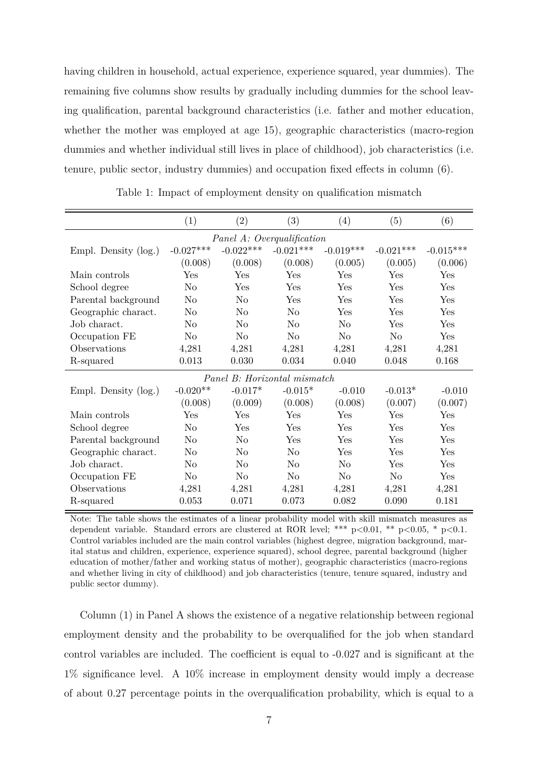having children in household, actual experience, experience squared, year dummies). The remaining five columns show results by gradually including dummies for the school leaving qualification, parental background characteristics (i.e. father and mother education, whether the mother was employed at age 15), geographic characteristics (macro-region dummies and whether individual still lives in place of childhood), job characteristics (i.e. tenure, public sector, industry dummies) and occupation fixed effects in column (6).

<span id="page-7-0"></span>

|                      | (1)                  | (2)                          | (3)            | (4)            | (5)            | (6)         |
|----------------------|----------------------|------------------------------|----------------|----------------|----------------|-------------|
|                      |                      | Panel A: Overqualification   |                |                |                |             |
| Empl. Density (log.) | $-0.027***$          | $-0.022***$                  | $-0.021***$    | $-0.019***$    | $-0.021***$    | $-0.015***$ |
|                      | (0.008)              | (0.008)                      | (0.008)        | (0.005)        | (0.005)        | (0.006)     |
| Main controls        | $\operatorname{Yes}$ | Yes                          | Yes            | Yes            | Yes            | Yes         |
| School degree        | No                   | Yes                          | Yes            | Yes            | Yes            | Yes         |
| Parental background  | No                   | N <sub>o</sub>               | Yes            | Yes            | Yes            | Yes         |
| Geographic charact.  | No                   | No                           | N <sub>o</sub> | Yes            | Yes            | Yes         |
| Job charact.         | No                   | N <sub>o</sub>               | $\rm No$       | N <sub>o</sub> | Yes            | Yes         |
| Occupation FE        | $\rm No$             | N <sub>0</sub>               | N <sub>0</sub> | $\rm No$       | N <sub>0</sub> | Yes         |
| Observations         | 4,281                | 4,281                        | 4,281          | 4,281          | 4,281          | 4,281       |
| R-squared            | 0.013                | 0.030                        | 0.034          | 0.040          | 0.048          | 0.168       |
|                      |                      | Panel B: Horizontal mismatch |                |                |                |             |
| Empl. Density (log.) | $-0.020**$           | $-0.017*$                    | $-0.015*$      | $-0.010$       | $-0.013*$      | $-0.010$    |
|                      | (0.008)              | (0.009)                      | (0.008)        | (0.008)        | (0.007)        | (0.007)     |
| Main controls        | $\operatorname{Yes}$ | Yes                          | Yes            | Yes            | Yes            | Yes         |
| School degree        | N <sub>o</sub>       | Yes                          | Yes            | Yes            | Yes            | Yes         |
| Parental background  | No                   | No                           | Yes            | Yes            | Yes            | Yes         |
| Geographic charact.  | No                   | N <sub>o</sub>               | $\rm No$       | Yes            | Yes            | Yes         |
| Job charact.         | $\rm No$             | No                           | $\rm No$       | No             | Yes            | Yes         |
| Occupation FE        | $\rm No$             | N <sub>o</sub>               | N <sub>o</sub> | N <sub>o</sub> | N <sub>o</sub> | Yes         |
| Observations         | 4,281                | 4,281                        | 4,281          | 4,281          | 4,281          | 4,281       |
| R-squared            | 0.053                | 0.071                        | 0.073          | 0.082          | 0.090          | 0.181       |

Table 1: Impact of employment density on qualification mismatch

Note: The table shows the estimates of a linear probability model with skill mismatch measures as dependent variable. Standard errors are clustered at ROR level; \*\*\*  $p<0.01$ , \*\*  $p<0.05$ , \*  $p<0.1$ . Control variables included are the main control variables (highest degree, migration background, marital status and children, experience, experience squared), school degree, parental background (higher education of mother/father and working status of mother), geographic characteristics (macro-regions and whether living in city of childhood) and job characteristics (tenure, tenure squared, industry and public sector dummy).

Column (1) in Panel A shows the existence of a negative relationship between regional employment density and the probability to be overqualified for the job when standard control variables are included. The coefficient is equal to -0.027 and is significant at the 1% significance level. A 10% increase in employment density would imply a decrease of about 0.27 percentage points in the overqualification probability, which is equal to a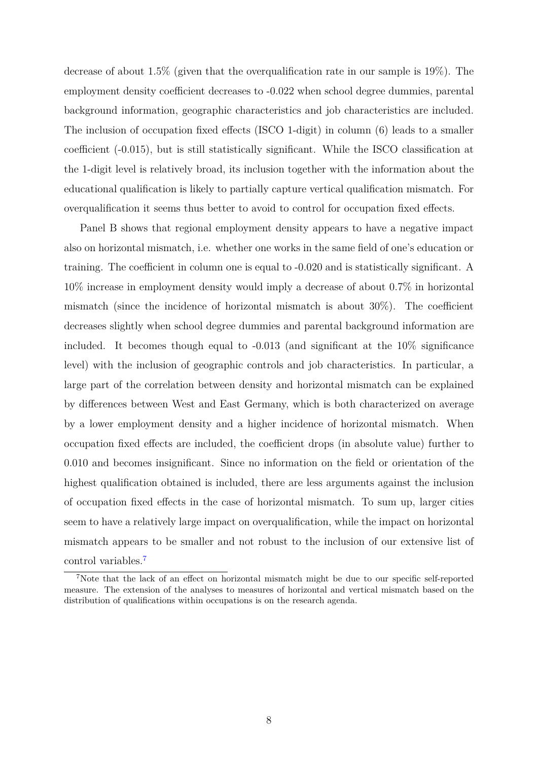decrease of about 1.5% (given that the overqualification rate in our sample is 19%). The employment density coefficient decreases to -0.022 when school degree dummies, parental background information, geographic characteristics and job characteristics are included. The inclusion of occupation fixed effects (ISCO 1-digit) in column (6) leads to a smaller coefficient (-0.015), but is still statistically significant. While the ISCO classification at the 1-digit level is relatively broad, its inclusion together with the information about the educational qualification is likely to partially capture vertical qualification mismatch. For overqualification it seems thus better to avoid to control for occupation fixed effects.

Panel B shows that regional employment density appears to have a negative impact also on horizontal mismatch, i.e. whether one works in the same field of one's education or training. The coefficient in column one is equal to -0.020 and is statistically significant. A 10% increase in employment density would imply a decrease of about 0.7% in horizontal mismatch (since the incidence of horizontal mismatch is about 30%). The coefficient decreases slightly when school degree dummies and parental background information are included. It becomes though equal to -0.013 (and significant at the 10% significance level) with the inclusion of geographic controls and job characteristics. In particular, a large part of the correlation between density and horizontal mismatch can be explained by differences between West and East Germany, which is both characterized on average by a lower employment density and a higher incidence of horizontal mismatch. When occupation fixed effects are included, the coefficient drops (in absolute value) further to 0.010 and becomes insignificant. Since no information on the field or orientation of the highest qualification obtained is included, there are less arguments against the inclusion of occupation fixed effects in the case of horizontal mismatch. To sum up, larger cities seem to have a relatively large impact on overqualification, while the impact on horizontal mismatch appears to be smaller and not robust to the inclusion of our extensive list of control variables.[7](#page-8-0)

<span id="page-8-0"></span><sup>7</sup>Note that the lack of an effect on horizontal mismatch might be due to our specific self-reported measure. The extension of the analyses to measures of horizontal and vertical mismatch based on the distribution of qualifications within occupations is on the research agenda.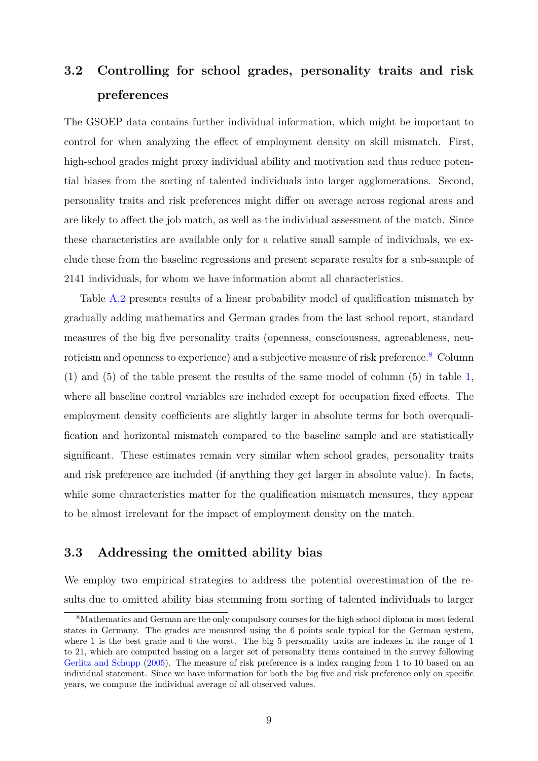## **3.2 Controlling for school grades, personality traits and risk preferences**

The GSOEP data contains further individual information, which might be important to control for when analyzing the effect of employment density on skill mismatch. First, high-school grades might proxy individual ability and motivation and thus reduce potential biases from the sorting of talented individuals into larger agglomerations. Second, personality traits and risk preferences might differ on average across regional areas and are likely to affect the job match, as well as the individual assessment of the match. Since these characteristics are available only for a relative small sample of individuals, we exclude these from the baseline regressions and present separate results for a sub-sample of 2141 individuals, for whom we have information about all characteristics.

Table [A.2](#page-24-0) presents results of a linear probability model of qualification mismatch by gradually adding mathematics and German grades from the last school report, standard measures of the big five personality traits (openness, consciousness, agreeableness, neuroticism and openness to experience) and a subjective measure of risk preference.[8](#page-9-0) Column (1) and (5) of the table present the results of the same model of column (5) in table [1,](#page-7-0) where all baseline control variables are included except for occupation fixed effects. The employment density coefficients are slightly larger in absolute terms for both overqualification and horizontal mismatch compared to the baseline sample and are statistically significant. These estimates remain very similar when school grades, personality traits and risk preference are included (if anything they get larger in absolute value). In facts, while some characteristics matter for the qualification mismatch measures, they appear to be almost irrelevant for the impact of employment density on the match.

### **3.3 Addressing the omitted ability bias**

We employ two empirical strategies to address the potential overestimation of the results due to omitted ability bias stemming from sorting of talented individuals to larger

<span id="page-9-0"></span><sup>8</sup>Mathematics and German are the only compulsory courses for the high school diploma in most federal states in Germany. The grades are measured using the 6 points scale typical for the German system, where 1 is the best grade and 6 the worst. The big 5 personality traits are indexes in the range of 1 to 21, which are computed basing on a larger set of personality items contained in the survey following [Gerlitz and Schupp](#page-20-7) [\(2005\)](#page-20-7). The measure of risk preference is a index ranging from 1 to 10 based on an individual statement. Since we have information for both the big five and risk preference only on specific years, we compute the individual average of all observed values.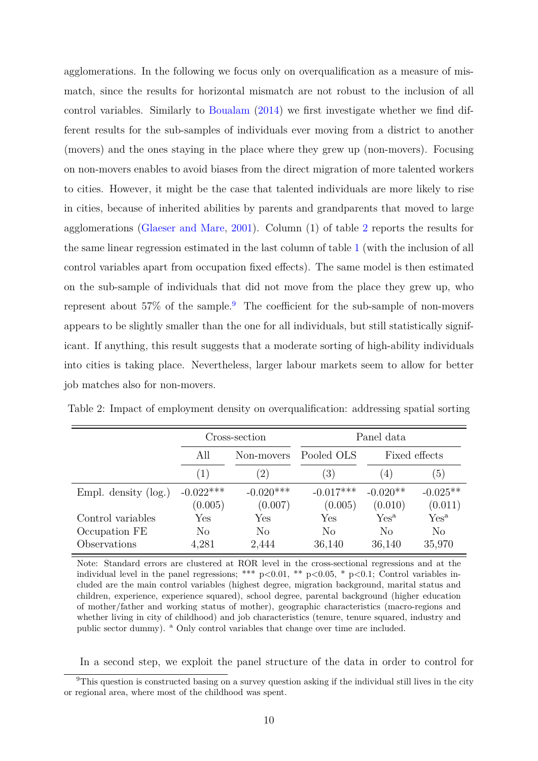agglomerations. In the following we focus only on overqualification as a measure of mismatch, since the results for horizontal mismatch are not robust to the inclusion of all control variables. Similarly to [Boualam](#page-19-6) [\(2014\)](#page-19-6) we first investigate whether we find different results for the sub-samples of individuals ever moving from a district to another (movers) and the ones staying in the place where they grew up (non-movers). Focusing on non-movers enables to avoid biases from the direct migration of more talented workers to cities. However, it might be the case that talented individuals are more likely to rise in cities, because of inherited abilities by parents and grandparents that moved to large agglomerations [\(Glaeser and Mare,](#page-20-0) [2001\)](#page-20-0). Column (1) of table [2](#page-10-0) reports the results for the same linear regression estimated in the last column of table [1](#page-7-0) (with the inclusion of all control variables apart from occupation fixed effects). The same model is then estimated on the sub-sample of individuals that did not move from the place they grew up, who represent about  $57\%$  of the sample.<sup>[9](#page-10-1)</sup> The coefficient for the sub-sample of non-movers appears to be slightly smaller than the one for all individuals, but still statistically significant. If anything, this result suggests that a moderate sorting of high-ability individuals into cities is taking place. Nevertheless, larger labour markets seem to allow for better job matches also for non-movers.

|                               |                               | Cross-section          | Panel data             |                       |                          |  |
|-------------------------------|-------------------------------|------------------------|------------------------|-----------------------|--------------------------|--|
|                               | All                           | Non-movers             | Pooled OLS             | Fixed effects         |                          |  |
|                               | $^{(2)}$<br>$\left( 1\right)$ |                        | $\left(3\right)$       | $4^{\circ}$           | $\left(5\right)$         |  |
| Empl. density $(\log.)$       | $-0.022***$<br>(0.005)        | $-0.020***$<br>(0.007) | $-0.017***$<br>(0.005) | $-0.020**$<br>(0.010) | $-0.025**$<br>(0.011)    |  |
| Control variables             | Yes                           | Yes                    | Yes                    | Yes <sup>a</sup>      | Yes <sup>a</sup>         |  |
| Occupation FE<br>Observations | N <sub>o</sub><br>4,281       | No<br>2,444            | No<br>36,140           | No<br>36,140          | N <sub>o</sub><br>35,970 |  |

<span id="page-10-0"></span>Table 2: Impact of employment density on overqualification: addressing spatial sorting

Note: Standard errors are clustered at ROR level in the cross-sectional regressions and at the individual level in the panel regressions; \*\*\*  $p<0.01$ , \*\*  $p<0.05$ , \*  $p<0.1$ ; Control variables included are the main control variables (highest degree, migration background, marital status and children, experience, experience squared), school degree, parental background (higher education of mother/father and working status of mother), geographic characteristics (macro-regions and whether living in city of childhood) and job characteristics (tenure, tenure squared, industry and public sector dummy). <sup>a</sup> Only control variables that change over time are included.

<span id="page-10-1"></span>In a second step, we exploit the panel structure of the data in order to control for

<sup>9</sup>This question is constructed basing on a survey question asking if the individual still lives in the city or regional area, where most of the childhood was spent.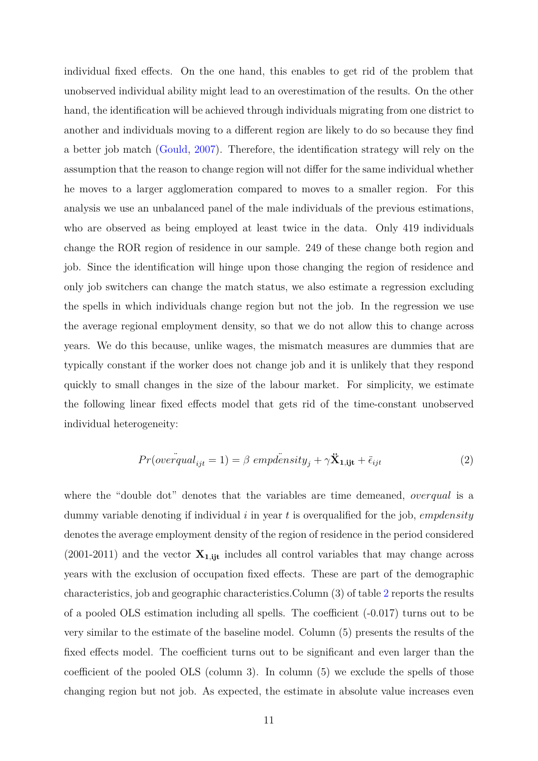individual fixed effects. On the one hand, this enables to get rid of the problem that unobserved individual ability might lead to an overestimation of the results. On the other hand, the identification will be achieved through individuals migrating from one district to another and individuals moving to a different region are likely to do so because they find a better job match [\(Gould,](#page-20-8) [2007\)](#page-20-8). Therefore, the identification strategy will rely on the assumption that the reason to change region will not differ for the same individual whether he moves to a larger agglomeration compared to moves to a smaller region. For this analysis we use an unbalanced panel of the male individuals of the previous estimations, who are observed as being employed at least twice in the data. Only 419 individuals change the ROR region of residence in our sample. 249 of these change both region and job. Since the identification will hinge upon those changing the region of residence and only job switchers can change the match status, we also estimate a regression excluding the spells in which individuals change region but not the job. In the regression we use the average regional employment density, so that we do not allow this to change across years. We do this because, unlike wages, the mismatch measures are dummies that are typically constant if the worker does not change job and it is unlikely that they respond quickly to small changes in the size of the labour market. For simplicity, we estimate the following linear fixed effects model that gets rid of the time-constant unobserved individual heterogeneity:

$$
Pr(overqual_{ijt} = 1) = \beta \{{empl\ddot{e}sity_j + \gamma \ddot{X}_{1,ijt} + \ddot{\epsilon}_{ijt} \tag{2}
$$

where the "double dot" denotes that the variables are time demeaned, *overqual* is a dummy variable denoting if individual *i* in year *t* is overqualified for the job, *empdensity* denotes the average employment density of the region of residence in the period considered (2001-2011) and the vector  $\mathbf{X}_{1,ijt}$  includes all control variables that may change across years with the exclusion of occupation fixed effects. These are part of the demographic characteristics, job and geographic characteristics.Column (3) of table [2](#page-10-0) reports the results of a pooled OLS estimation including all spells. The coefficient (-0.017) turns out to be very similar to the estimate of the baseline model. Column (5) presents the results of the fixed effects model. The coefficient turns out to be significant and even larger than the coefficient of the pooled OLS (column 3). In column (5) we exclude the spells of those changing region but not job. As expected, the estimate in absolute value increases even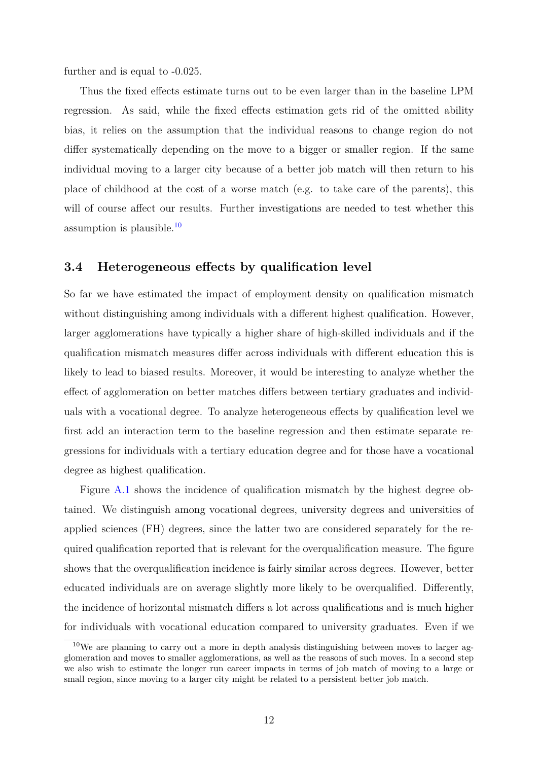further and is equal to -0.025.

Thus the fixed effects estimate turns out to be even larger than in the baseline LPM regression. As said, while the fixed effects estimation gets rid of the omitted ability bias, it relies on the assumption that the individual reasons to change region do not differ systematically depending on the move to a bigger or smaller region. If the same individual moving to a larger city because of a better job match will then return to his place of childhood at the cost of a worse match (e.g. to take care of the parents), this will of course affect our results. Further investigations are needed to test whether this assumption is plausible.[10](#page-12-0)

### **3.4 Heterogeneous effects by qualification level**

So far we have estimated the impact of employment density on qualification mismatch without distinguishing among individuals with a different highest qualification. However, larger agglomerations have typically a higher share of high-skilled individuals and if the qualification mismatch measures differ across individuals with different education this is likely to lead to biased results. Moreover, it would be interesting to analyze whether the effect of agglomeration on better matches differs between tertiary graduates and individuals with a vocational degree. To analyze heterogeneous effects by qualification level we first add an interaction term to the baseline regression and then estimate separate regressions for individuals with a tertiary education degree and for those have a vocational degree as highest qualification.

Figure [A.1](#page-21-1) shows the incidence of qualification mismatch by the highest degree obtained. We distinguish among vocational degrees, university degrees and universities of applied sciences (FH) degrees, since the latter two are considered separately for the required qualification reported that is relevant for the overqualification measure. The figure shows that the overqualification incidence is fairly similar across degrees. However, better educated individuals are on average slightly more likely to be overqualified. Differently, the incidence of horizontal mismatch differs a lot across qualifications and is much higher for individuals with vocational education compared to university graduates. Even if we

<span id="page-12-0"></span><sup>10</sup>We are planning to carry out a more in depth analysis distinguishing between moves to larger agglomeration and moves to smaller agglomerations, as well as the reasons of such moves. In a second step we also wish to estimate the longer run career impacts in terms of job match of moving to a large or small region, since moving to a larger city might be related to a persistent better job match.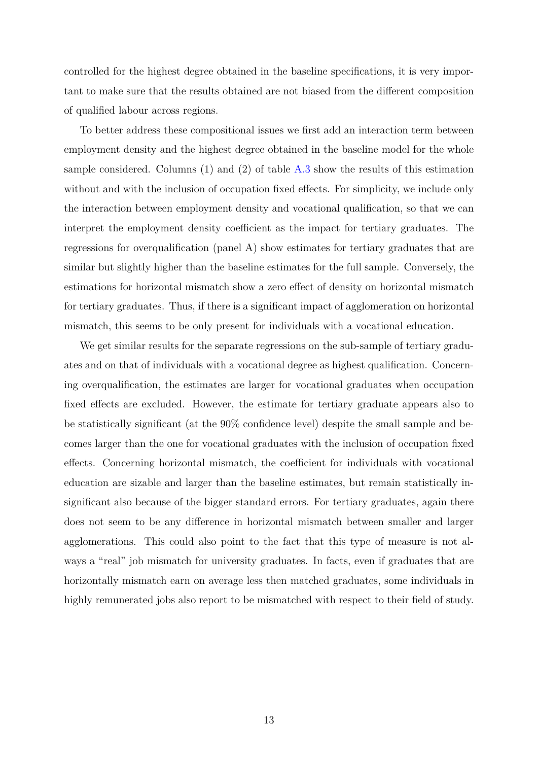controlled for the highest degree obtained in the baseline specifications, it is very important to make sure that the results obtained are not biased from the different composition of qualified labour across regions.

To better address these compositional issues we first add an interaction term between employment density and the highest degree obtained in the baseline model for the whole sample considered. Columns (1) and (2) of table [A.3](#page-25-0) show the results of this estimation without and with the inclusion of occupation fixed effects. For simplicity, we include only the interaction between employment density and vocational qualification, so that we can interpret the employment density coefficient as the impact for tertiary graduates. The regressions for overqualification (panel A) show estimates for tertiary graduates that are similar but slightly higher than the baseline estimates for the full sample. Conversely, the estimations for horizontal mismatch show a zero effect of density on horizontal mismatch for tertiary graduates. Thus, if there is a significant impact of agglomeration on horizontal mismatch, this seems to be only present for individuals with a vocational education.

We get similar results for the separate regressions on the sub-sample of tertiary graduates and on that of individuals with a vocational degree as highest qualification. Concerning overqualification, the estimates are larger for vocational graduates when occupation fixed effects are excluded. However, the estimate for tertiary graduate appears also to be statistically significant (at the 90% confidence level) despite the small sample and becomes larger than the one for vocational graduates with the inclusion of occupation fixed effects. Concerning horizontal mismatch, the coefficient for individuals with vocational education are sizable and larger than the baseline estimates, but remain statistically insignificant also because of the bigger standard errors. For tertiary graduates, again there does not seem to be any difference in horizontal mismatch between smaller and larger agglomerations. This could also point to the fact that this type of measure is not always a "real" job mismatch for university graduates. In facts, even if graduates that are horizontally mismatch earn on average less then matched graduates, some individuals in highly remunerated jobs also report to be mismatched with respect to their field of study.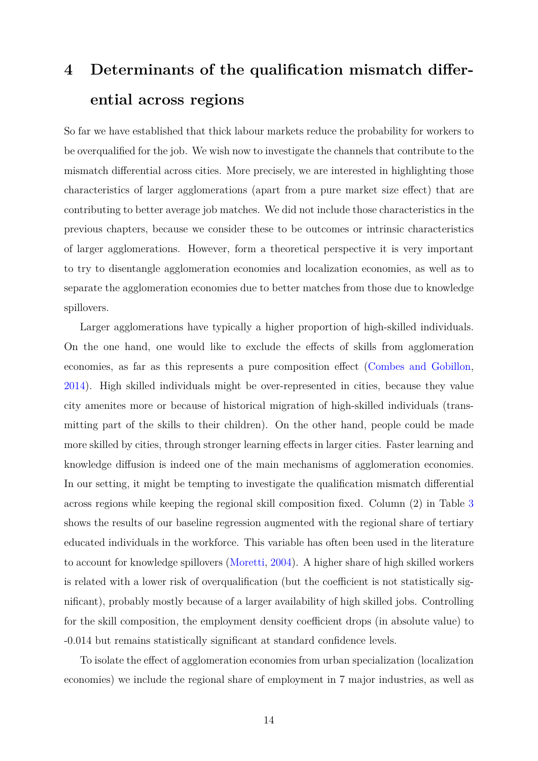# <span id="page-14-0"></span>**4 Determinants of the qualification mismatch differential across regions**

So far we have established that thick labour markets reduce the probability for workers to be overqualified for the job. We wish now to investigate the channels that contribute to the mismatch differential across cities. More precisely, we are interested in highlighting those characteristics of larger agglomerations (apart from a pure market size effect) that are contributing to better average job matches. We did not include those characteristics in the previous chapters, because we consider these to be outcomes or intrinsic characteristics of larger agglomerations. However, form a theoretical perspective it is very important to try to disentangle agglomeration economies and localization economies, as well as to separate the agglomeration economies due to better matches from those due to knowledge spillovers.

Larger agglomerations have typically a higher proportion of high-skilled individuals. On the one hand, one would like to exclude the effects of skills from agglomeration economies, as far as this represents a pure composition effect [\(Combes and Gobillon,](#page-19-4) [2014\)](#page-19-4). High skilled individuals might be over-represented in cities, because they value city amenites more or because of historical migration of high-skilled individuals (transmitting part of the skills to their children). On the other hand, people could be made more skilled by cities, through stronger learning effects in larger cities. Faster learning and knowledge diffusion is indeed one of the main mechanisms of agglomeration economies. In our setting, it might be tempting to investigate the qualification mismatch differential across regions while keeping the regional skill composition fixed. Column (2) in Table [3](#page-15-0) shows the results of our baseline regression augmented with the regional share of tertiary educated individuals in the workforce. This variable has often been used in the literature to account for knowledge spillovers [\(Moretti,](#page-20-9) [2004\)](#page-20-9). A higher share of high skilled workers is related with a lower risk of overqualification (but the coefficient is not statistically significant), probably mostly because of a larger availability of high skilled jobs. Controlling for the skill composition, the employment density coefficient drops (in absolute value) to -0.014 but remains statistically significant at standard confidence levels.

To isolate the effect of agglomeration economies from urban specialization (localization economies) we include the regional share of employment in 7 major industries, as well as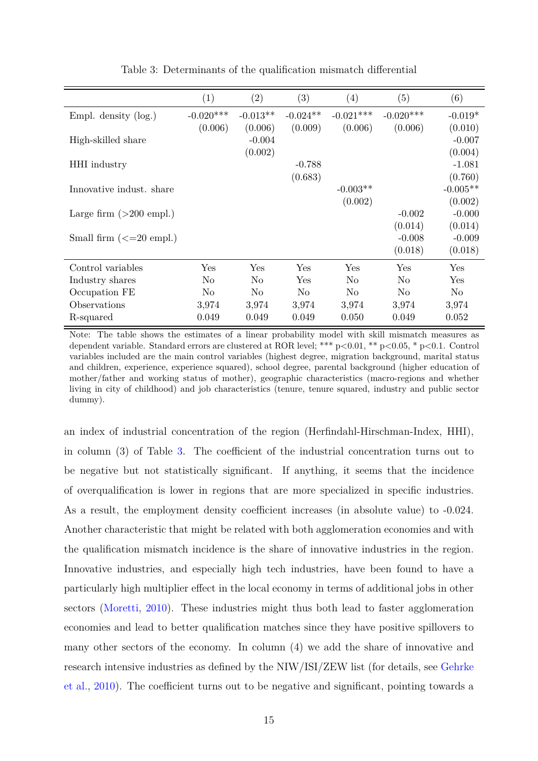<span id="page-15-0"></span>

|                                   | (1)            | (2)            | (3)        | $\left( 4\right)$ | (5)            | (6)        |
|-----------------------------------|----------------|----------------|------------|-------------------|----------------|------------|
| Empl. density $(\log.)$           | $-0.020***$    | $-0.013**$     | $-0.024**$ | $-0.021***$       | $-0.020***$    | $-0.019*$  |
|                                   | (0.006)        | (0.006)        | (0.009)    | (0.006)           | (0.006)        | (0.010)    |
| High-skilled share                |                | $-0.004$       |            |                   |                | $-0.007$   |
|                                   |                | (0.002)        |            |                   |                | (0.004)    |
| <b>HHI</b> industry               |                |                | $-0.788$   |                   |                | $-1.081$   |
|                                   |                |                | (0.683)    |                   |                | (0.760)    |
| Innovative indust, share          |                |                |            | $-0.003**$        |                | $-0.005**$ |
|                                   |                |                |            | (0.002)           |                | (0.002)    |
| Large firm $(>200$ empl.)         |                |                |            |                   | $-0.002$       | $-0.000$   |
|                                   |                |                |            |                   | (0.014)        | (0.014)    |
| Small firm $\left(\leq=20$ empl.) |                |                |            |                   | $-0.008$       | $-0.009$   |
|                                   |                |                |            |                   | (0.018)        | (0.018)    |
| Control variables                 | Yes            | Yes            | Yes        | Yes               | Yes            | Yes        |
| Industry shares                   | No             | N <sub>o</sub> | Yes        | N <sub>o</sub>    | N <sub>o</sub> | Yes        |
| Occupation FE                     | N <sub>o</sub> | N <sub>o</sub> | No         | N <sub>o</sub>    | N <sub>o</sub> | No         |
| Observations                      | 3,974          | 3,974          | 3,974      | 3,974             | 3,974          | 3,974      |
| R-squared                         | 0.049          | 0.049          | 0.049      | 0.050             | 0.049          | 0.052      |

Table 3: Determinants of the qualification mismatch differential

Note: The table shows the estimates of a linear probability model with skill mismatch measures as dependent variable. Standard errors are clustered at ROR level; \*\*\* p<0.01, \*\* p<0.05, \* p<0.1. Control variables included are the main control variables (highest degree, migration background, marital status and children, experience, experience squared), school degree, parental background (higher education of mother/father and working status of mother), geographic characteristics (macro-regions and whether living in city of childhood) and job characteristics (tenure, tenure squared, industry and public sector dummy).

an index of industrial concentration of the region (Herfindahl-Hirschman-Index, HHI), in column (3) of Table [3.](#page-15-0) The coefficient of the industrial concentration turns out to be negative but not statistically significant. If anything, it seems that the incidence of overqualification is lower in regions that are more specialized in specific industries. As a result, the employment density coefficient increases (in absolute value) to -0.024. Another characteristic that might be related with both agglomeration economies and with the qualification mismatch incidence is the share of innovative industries in the region. Innovative industries, and especially high tech industries, have been found to have a particularly high multiplier effect in the local economy in terms of additional jobs in other sectors [\(Moretti,](#page-21-2) [2010\)](#page-21-2). These industries might thus both lead to faster agglomeration economies and lead to better qualification matches since they have positive spillovers to many other sectors of the economy. In column (4) we add the share of innovative and research intensive industries as defined by the NIW/ISI/ZEW list (for details, see [Gehrke](#page-20-10) [et al.,](#page-20-10) [2010\)](#page-20-10). The coefficient turns out to be negative and significant, pointing towards a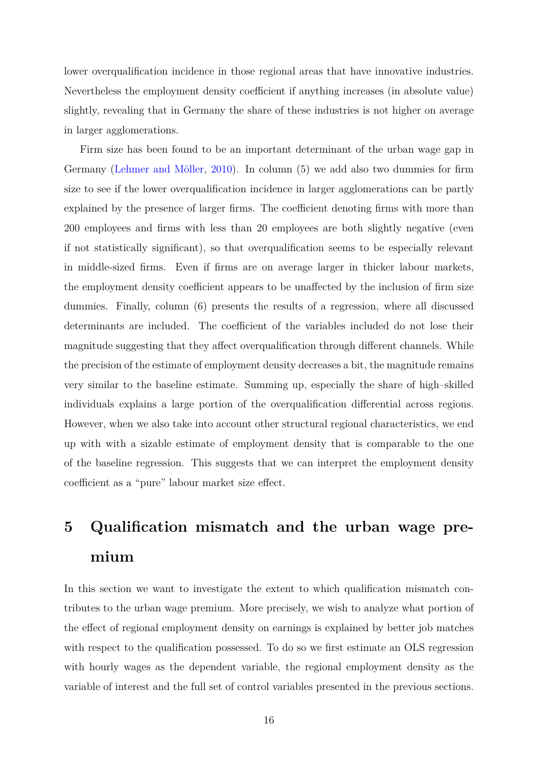lower overqualification incidence in those regional areas that have innovative industries. Nevertheless the employment density coefficient if anything increases (in absolute value) slightly, revealing that in Germany the share of these industries is not higher on average in larger agglomerations.

Firm size has been found to be an important determinant of the urban wage gap in Germany [\(Lehmer and Möller,](#page-20-1) [2010\)](#page-20-1). In column (5) we add also two dummies for firm size to see if the lower overqualification incidence in larger agglomerations can be partly explained by the presence of larger firms. The coefficient denoting firms with more than 200 employees and firms with less than 20 employees are both slightly negative (even if not statistically significant), so that overqualification seems to be especially relevant in middle-sized firms. Even if firms are on average larger in thicker labour markets, the employment density coefficient appears to be unaffected by the inclusion of firm size dummies. Finally, column (6) presents the results of a regression, where all discussed determinants are included. The coefficient of the variables included do not lose their magnitude suggesting that they affect overqualification through different channels. While the precision of the estimate of employment density decreases a bit, the magnitude remains very similar to the baseline estimate. Summing up, especially the share of high–skilled individuals explains a large portion of the overqualification differential across regions. However, when we also take into account other structural regional characteristics, we end up with with a sizable estimate of employment density that is comparable to the one of the baseline regression. This suggests that we can interpret the employment density coefficient as a "pure" labour market size effect.

# <span id="page-16-0"></span>**5 Qualification mismatch and the urban wage premium**

In this section we want to investigate the extent to which qualification mismatch contributes to the urban wage premium. More precisely, we wish to analyze what portion of the effect of regional employment density on earnings is explained by better job matches with respect to the qualification possessed. To do so we first estimate an OLS regression with hourly wages as the dependent variable, the regional employment density as the variable of interest and the full set of control variables presented in the previous sections.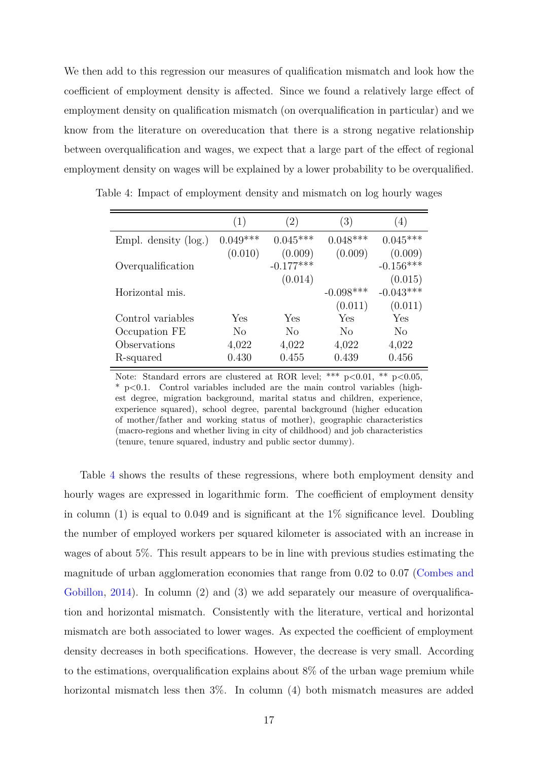We then add to this regression our measures of qualification mismatch and look how the coefficient of employment density is affected. Since we found a relatively large effect of employment density on qualification mismatch (on overqualification in particular) and we know from the literature on overeducation that there is a strong negative relationship between overqualification and wages, we expect that a large part of the effect of regional employment density on wages will be explained by a lower probability to be overqualified.

<span id="page-17-0"></span>

|  | Table 4: Impact of employment density and mismatch on log hourly wages |  |  |  |
|--|------------------------------------------------------------------------|--|--|--|
|  |                                                                        |  |  |  |

|                         | (1)            | (2)            | (3)         | (4)         |
|-------------------------|----------------|----------------|-------------|-------------|
| Empl. density $(\log.)$ | $0.049***$     | $0.045***$     | $0.048***$  | $0.045***$  |
|                         | (0.010)        | (0.009)        | (0.009)     | (0.009)     |
| Overqualification       |                | $-0.177***$    |             | $-0.156***$ |
|                         |                | (0.014)        |             | (0.015)     |
| Horizontal mis.         |                |                | $-0.098***$ | $-0.043***$ |
|                         |                |                | (0.011)     | (0.011)     |
| Control variables       | Yes            | Yes            | Yes         | Yes         |
| Occupation FE           | N <sub>o</sub> | N <sub>0</sub> | No          | $\rm No$    |
| Observations            | 4,022          | 4,022          | 4,022       | 4,022       |
| R-squared               | 0.430          | 0.455          | 0.439       | 0.456       |

Note: Standard errors are clustered at ROR level; \*\*\*  $p<0.01$ , \*\*  $p<0.05$ , \* p<0.1. Control variables included are the main control variables (highest degree, migration background, marital status and children, experience, experience squared), school degree, parental background (higher education of mother/father and working status of mother), geographic characteristics (macro-regions and whether living in city of childhood) and job characteristics (tenure, tenure squared, industry and public sector dummy).

Table [4](#page-17-0) shows the results of these regressions, where both employment density and hourly wages are expressed in logarithmic form. The coefficient of employment density in column (1) is equal to 0.049 and is significant at the  $1\%$  significance level. Doubling the number of employed workers per squared kilometer is associated with an increase in wages of about 5%. This result appears to be in line with previous studies estimating the magnitude of urban agglomeration economies that range from 0.02 to 0.07 [\(Combes and](#page-19-4) [Gobillon,](#page-19-4) [2014\)](#page-19-4). In column (2) and (3) we add separately our measure of overqualification and horizontal mismatch. Consistently with the literature, vertical and horizontal mismatch are both associated to lower wages. As expected the coefficient of employment density decreases in both specifications. However, the decrease is very small. According to the estimations, overqualification explains about 8% of the urban wage premium while horizontal mismatch less then  $3\%$ . In column (4) both mismatch measures are added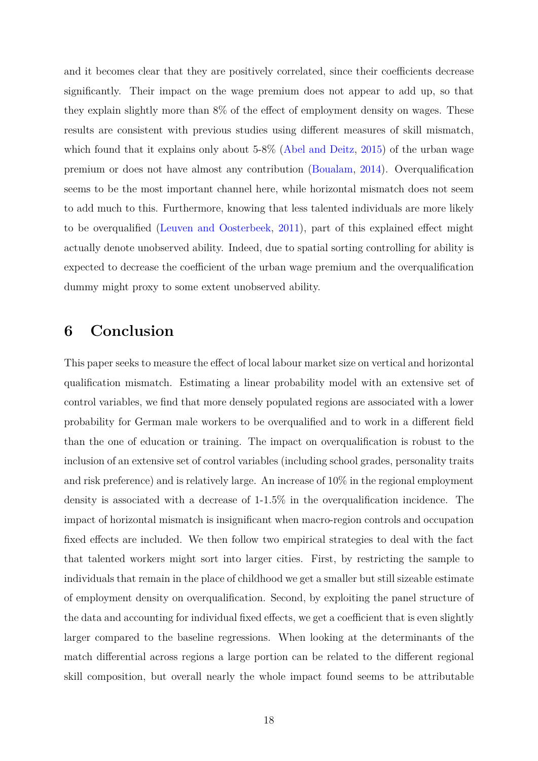and it becomes clear that they are positively correlated, since their coefficients decrease significantly. Their impact on the wage premium does not appear to add up, so that they explain slightly more than 8% of the effect of employment density on wages. These results are consistent with previous studies using different measures of skill mismatch, which found that it explains only about  $5-8\%$  [\(Abel and Deitz,](#page-19-5) [2015\)](#page-19-5) of the urban wage premium or does not have almost any contribution [\(Boualam,](#page-19-6) [2014\)](#page-19-6). Overqualification seems to be the most important channel here, while horizontal mismatch does not seem to add much to this. Furthermore, knowing that less talented individuals are more likely to be overqualified [\(Leuven and Oosterbeek,](#page-20-6) [2011\)](#page-20-6), part of this explained effect might actually denote unobserved ability. Indeed, due to spatial sorting controlling for ability is expected to decrease the coefficient of the urban wage premium and the overqualification dummy might proxy to some extent unobserved ability.

## <span id="page-18-0"></span>**6 Conclusion**

This paper seeks to measure the effect of local labour market size on vertical and horizontal qualification mismatch. Estimating a linear probability model with an extensive set of control variables, we find that more densely populated regions are associated with a lower probability for German male workers to be overqualified and to work in a different field than the one of education or training. The impact on overqualification is robust to the inclusion of an extensive set of control variables (including school grades, personality traits and risk preference) and is relatively large. An increase of 10% in the regional employment density is associated with a decrease of 1-1.5% in the overqualification incidence. The impact of horizontal mismatch is insignificant when macro-region controls and occupation fixed effects are included. We then follow two empirical strategies to deal with the fact that talented workers might sort into larger cities. First, by restricting the sample to individuals that remain in the place of childhood we get a smaller but still sizeable estimate of employment density on overqualification. Second, by exploiting the panel structure of the data and accounting for individual fixed effects, we get a coefficient that is even slightly larger compared to the baseline regressions. When looking at the determinants of the match differential across regions a large portion can be related to the different regional skill composition, but overall nearly the whole impact found seems to be attributable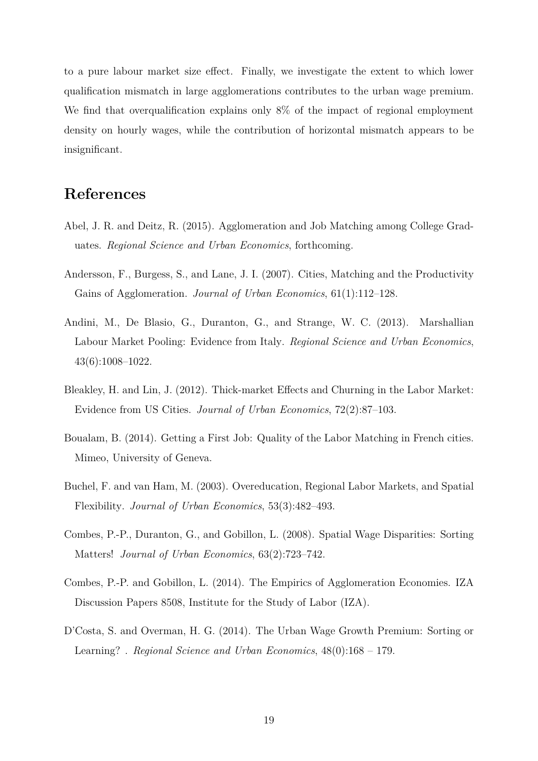to a pure labour market size effect. Finally, we investigate the extent to which lower qualification mismatch in large agglomerations contributes to the urban wage premium. We find that overqualification explains only  $8\%$  of the impact of regional employment density on hourly wages, while the contribution of horizontal mismatch appears to be insignificant.

### **References**

- <span id="page-19-5"></span>Abel, J. R. and Deitz, R. (2015). Agglomeration and Job Matching among College Graduates. *Regional Science and Urban Economics*, forthcoming.
- <span id="page-19-1"></span>Andersson, F., Burgess, S., and Lane, J. I. (2007). Cities, Matching and the Productivity Gains of Agglomeration. *Journal of Urban Economics*, 61(1):112–128.
- <span id="page-19-7"></span>Andini, M., De Blasio, G., Duranton, G., and Strange, W. C. (2013). Marshallian Labour Market Pooling: Evidence from Italy. *Regional Science and Urban Economics*, 43(6):1008–1022.
- <span id="page-19-0"></span>Bleakley, H. and Lin, J. (2012). Thick-market Effects and Churning in the Labor Market: Evidence from US Cities. *Journal of Urban Economics*, 72(2):87–103.
- <span id="page-19-6"></span>Boualam, B. (2014). Getting a First Job: Quality of the Labor Matching in French cities. Mimeo, University of Geneva.
- <span id="page-19-2"></span>Buchel, F. and van Ham, M. (2003). Overeducation, Regional Labor Markets, and Spatial Flexibility. *Journal of Urban Economics*, 53(3):482–493.
- <span id="page-19-3"></span>Combes, P.-P., Duranton, G., and Gobillon, L. (2008). Spatial Wage Disparities: Sorting Matters! *Journal of Urban Economics*, 63(2):723–742.
- <span id="page-19-4"></span>Combes, P.-P. and Gobillon, L. (2014). The Empirics of Agglomeration Economies. IZA Discussion Papers 8508, Institute for the Study of Labor (IZA).
- <span id="page-19-8"></span>D'Costa, S. and Overman, H. G. (2014). The Urban Wage Growth Premium: Sorting or Learning? . *Regional Science and Urban Economics*, 48(0):168 – 179.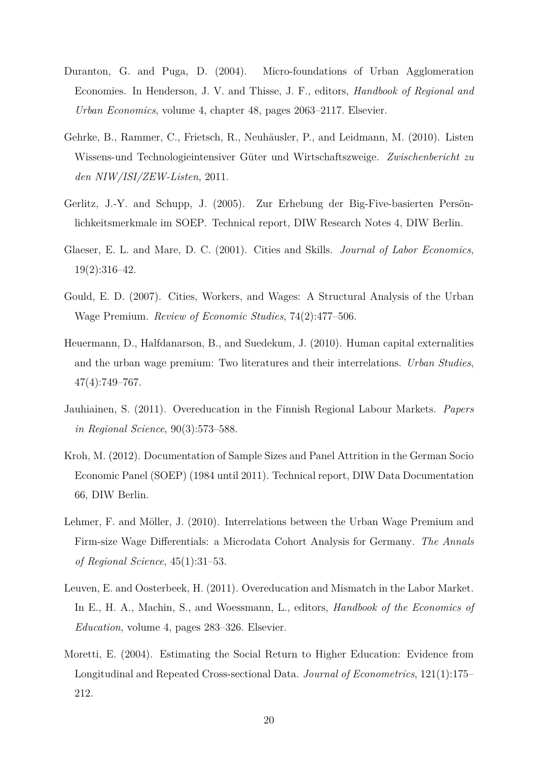- <span id="page-20-2"></span>Duranton, G. and Puga, D. (2004). Micro-foundations of Urban Agglomeration Economies. In Henderson, J. V. and Thisse, J. F., editors, *Handbook of Regional and Urban Economics*, volume 4, chapter 48, pages 2063–2117. Elsevier.
- <span id="page-20-10"></span>Gehrke, B., Rammer, C., Frietsch, R., Neuhäusler, P., and Leidmann, M. (2010). Listen Wissens-und Technologieintensiver Güter und Wirtschaftszweige. *Zwischenbericht zu den NIW/ISI/ZEW-Listen*, 2011.
- <span id="page-20-7"></span>Gerlitz, J.-Y. and Schupp, J. (2005). Zur Erhebung der Big-Five-basierten Persönlichkeitsmerkmale im SOEP. Technical report, DIW Research Notes 4, DIW Berlin.
- <span id="page-20-0"></span>Glaeser, E. L. and Mare, D. C. (2001). Cities and Skills. *Journal of Labor Economics*, 19(2):316–42.
- <span id="page-20-8"></span>Gould, E. D. (2007). Cities, Workers, and Wages: A Structural Analysis of the Urban Wage Premium. *Review of Economic Studies*, 74(2):477–506.
- <span id="page-20-4"></span>Heuermann, D., Halfdanarson, B., and Suedekum, J. (2010). Human capital externalities and the urban wage premium: Two literatures and their interrelations. *Urban Studies*, 47(4):749–767.
- <span id="page-20-3"></span>Jauhiainen, S. (2011). Overeducation in the Finnish Regional Labour Markets. *Papers in Regional Science*, 90(3):573–588.
- <span id="page-20-5"></span>Kroh, M. (2012). Documentation of Sample Sizes and Panel Attrition in the German Socio Economic Panel (SOEP) (1984 until 2011). Technical report, DIW Data Documentation 66, DIW Berlin.
- <span id="page-20-1"></span>Lehmer, F. and Möller, J. (2010). Interrelations between the Urban Wage Premium and Firm-size Wage Differentials: a Microdata Cohort Analysis for Germany. *The Annals of Regional Science*, 45(1):31–53.
- <span id="page-20-6"></span>Leuven, E. and Oosterbeek, H. (2011). Overeducation and Mismatch in the Labor Market. In E., H. A., Machin, S., and Woessmann, L., editors, *Handbook of the Economics of Education*, volume 4, pages 283–326. Elsevier.
- <span id="page-20-9"></span>Moretti, E. (2004). Estimating the Social Return to Higher Education: Evidence from Longitudinal and Repeated Cross-sectional Data. *Journal of Econometrics*, 121(1):175– 212.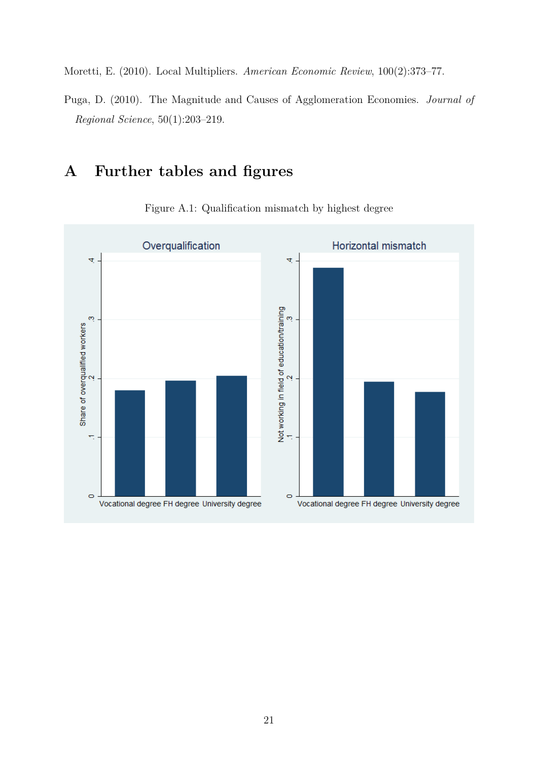<span id="page-21-2"></span>Moretti, E. (2010). Local Multipliers. *American Economic Review*, 100(2):373–77.

<span id="page-21-0"></span>Puga, D. (2010). The Magnitude and Causes of Agglomeration Economies. *Journal of Regional Science*, 50(1):203–219.

## **A Further tables and figures**

<span id="page-21-1"></span>

Figure A.1: Qualification mismatch by highest degree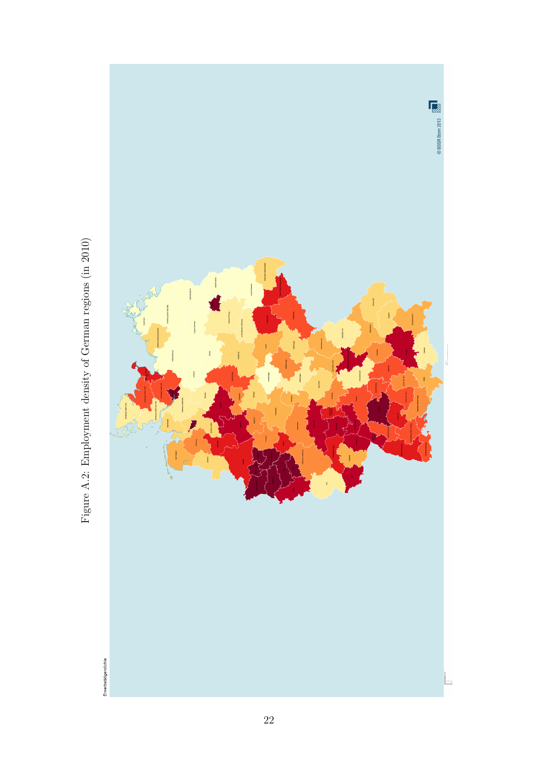<span id="page-22-0"></span>

Figure A.2: Employment density of German regions (in 2010) Figure A.2: Employment density of German regions (in 2010)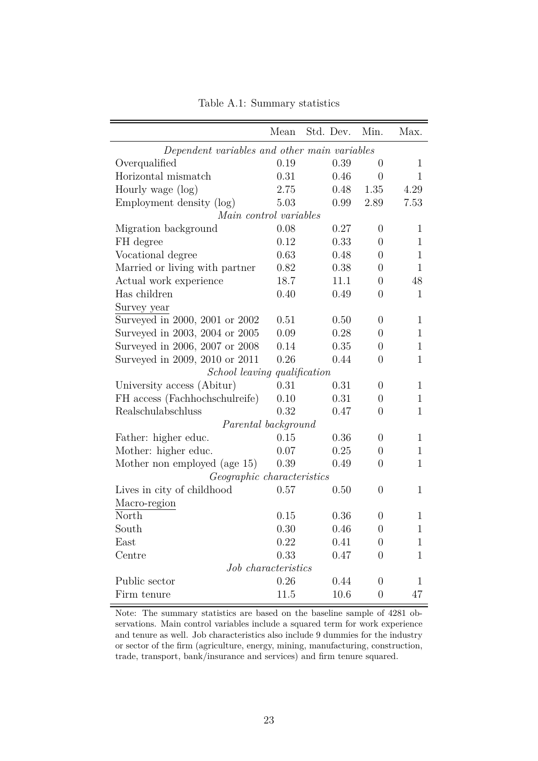<span id="page-23-0"></span>

|                                              | Mean                | Std. Dev. | Min.             | Max.         |
|----------------------------------------------|---------------------|-----------|------------------|--------------|
| Dependent variables and other main variables |                     |           |                  |              |
| Overqualified                                | 0.19                | 0.39      | $\theta$         | $\mathbf{1}$ |
| Horizontal mismatch                          | 0.31                | 0.46      | $\overline{0}$   | $\mathbf{1}$ |
| Hourly wage (log)                            | 2.75                | 0.48      | 1.35             | 4.29         |
| Employment density (log)                     | 5.03                | 0.99      | 2.89             | 7.53         |
| Main control variables                       |                     |           |                  |              |
| Migration background                         | 0.08                | 0.27      | $\theta$         | 1            |
| FH degree                                    | 0.12                | 0.33      | $\theta$         | $\mathbf{1}$ |
| Vocational degree                            | 0.63                | 0.48      | $\overline{0}$   | $\mathbf{1}$ |
| Married or living with partner               | 0.82                | 0.38      | $\overline{0}$   | $\mathbf{1}$ |
| Actual work experience                       | 18.7                | 11.1      | $\overline{0}$   | 48           |
| Has children                                 | 0.40                | 0.49      | $\overline{0}$   | $\mathbf{1}$ |
| Survey year                                  |                     |           |                  |              |
| Surveyed in 2000, 2001 or 2002               | 0.51                | 0.50      | $\overline{0}$   | $\mathbf{1}$ |
| Surveyed in 2003, 2004 or 2005               | 0.09                | 0.28      | $\overline{0}$   | $\mathbf{1}$ |
| Surveyed in 2006, 2007 or 2008               | 0.14                | 0.35      | $\theta$         | $\mathbf{1}$ |
| Surveyed in 2009, 2010 or 2011               | 0.26                | 0.44      | $\overline{0}$   | $\mathbf{1}$ |
| School leaving qualification                 |                     |           |                  |              |
| University access (Abitur)                   | 0.31                | 0.31      | $\overline{0}$   | $\mathbf 1$  |
| FH access (Fachhochschulreife)               | 0.10                | 0.31      | $\overline{0}$   | $\mathbf 1$  |
| Realschulabschluss                           | 0.32                | 0.47      | $\theta$         | $\mathbf{1}$ |
| Parental background                          |                     |           |                  |              |
| Father: higher educ.                         | 0.15                | 0.36      | $\overline{0}$   | $\mathbf{1}$ |
| Mother: higher educ.                         | 0.07                | 0.25      | $\overline{0}$   | $\mathbf 1$  |
| Mother non employed (age 15)                 | 0.39                | 0.49      | $\theta$         | 1            |
| Geographic characteristics                   |                     |           |                  |              |
| Lives in city of childhood                   | 0.57                | 0.50      | $\overline{0}$   | $\mathbf{1}$ |
| Macro-region                                 |                     |           |                  |              |
| North                                        | 0.15                | 0.36      | 0                | 1            |
| South                                        | 0.30                | 0.46      | $\boldsymbol{0}$ | $\mathbf{1}$ |
| East                                         | 0.22                | 0.41      | $\overline{0}$   | $\mathbf{1}$ |
| Centre                                       | 0.33                | 0.47      | $\overline{0}$   | $\mathbf{1}$ |
|                                              | Job characteristics |           |                  |              |
| Public sector                                | 0.26                | 0.44      | $\theta$         | 1            |
| Firm tenure                                  | 11.5                | 10.6      | $\overline{0}$   | 47           |

Table A.1: Summary statistics

Note: The summary statistics are based on the baseline sample of 4281 observations. Main control variables include a squared term for work experience and tenure as well. Job characteristics also include 9 dummies for the industry or sector of the firm (agriculture, energy, mining, manufacturing, construction, trade, transport, bank/insurance and services) and firm tenure squared.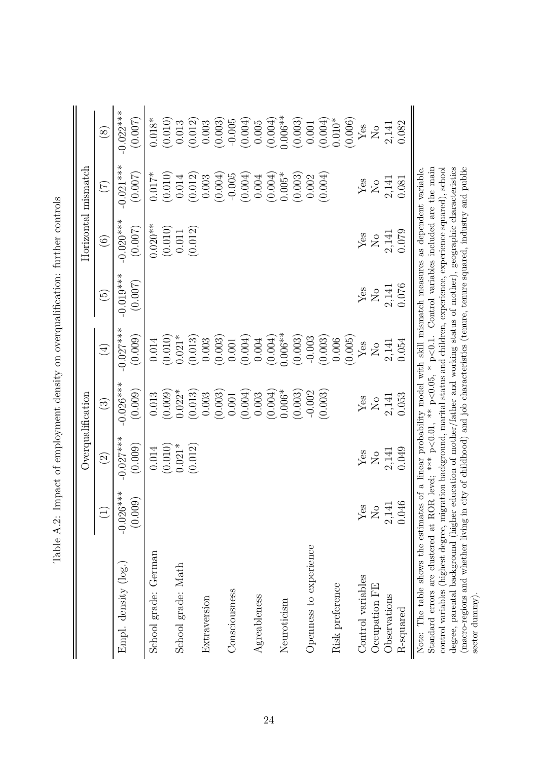<span id="page-24-0"></span>

|                                                                                                                                                                                                                                                                                                      |                                   |                                                                                                                                                                                 | Overqualification         |                         |                            |                         | $\rm Horizontal\,$ mismatch                                                                                                                                                                                     |                        |
|------------------------------------------------------------------------------------------------------------------------------------------------------------------------------------------------------------------------------------------------------------------------------------------------------|-----------------------------------|---------------------------------------------------------------------------------------------------------------------------------------------------------------------------------|---------------------------|-------------------------|----------------------------|-------------------------|-----------------------------------------------------------------------------------------------------------------------------------------------------------------------------------------------------------------|------------------------|
|                                                                                                                                                                                                                                                                                                      | $\begin{pmatrix} 1 \end{pmatrix}$ | $\widehat{\mathfrak{D}}$                                                                                                                                                        | $\odot$                   | $\bigoplus$             | $\widetilde{\mathfrak{S}}$ | $\odot$                 | $(\mathcal{I})$                                                                                                                                                                                                 | $\circledS$            |
| Empl. density (log.)                                                                                                                                                                                                                                                                                 | $-0.026***$<br>(0.009)            | $-0.027***$<br>(0.009)                                                                                                                                                          | $-0.026***$<br>(0.009)    | $-0.027$ ***<br>(0.009) | $-0.019***$<br>(0.007)     | $-0.020***$<br>(0.007)  | $-0.021***$<br>(0.007)                                                                                                                                                                                          | $-0.022***$<br>(0.007) |
| School grade: German                                                                                                                                                                                                                                                                                 |                                   | 0.014                                                                                                                                                                           | 0.013                     | 0.014                   |                            | $0.020**$               | $0.017*$                                                                                                                                                                                                        | $0.018*$               |
|                                                                                                                                                                                                                                                                                                      |                                   | $0.021*$<br>(0.010)                                                                                                                                                             | (0.009)                   | (0.010)                 |                            | (0.010)                 | (0.010)                                                                                                                                                                                                         | (0.010)                |
| School grade: Math                                                                                                                                                                                                                                                                                   |                                   | (0.012)                                                                                                                                                                         | $0.022*$<br>(0.013)       | $0.021*$<br>(0.013)     |                            | (0.012)<br>0.011        | (0.012)<br>0.014                                                                                                                                                                                                | (0.012)<br>0.013       |
| Extraversion                                                                                                                                                                                                                                                                                         |                                   |                                                                                                                                                                                 | 0.003                     | 0.003                   |                            |                         | 0.003                                                                                                                                                                                                           | 0.003                  |
|                                                                                                                                                                                                                                                                                                      |                                   |                                                                                                                                                                                 | (0.003)                   | (0.003)                 |                            |                         | (0.004)                                                                                                                                                                                                         | (0.003)                |
| Consciousness                                                                                                                                                                                                                                                                                        |                                   |                                                                                                                                                                                 | 0.001                     | 0.001                   |                            |                         | $-0.005$                                                                                                                                                                                                        | $-0.005$               |
|                                                                                                                                                                                                                                                                                                      |                                   |                                                                                                                                                                                 | (0.004)                   | (0.004)                 |                            |                         | (0.004)                                                                                                                                                                                                         | (0.004)                |
| Agreableness                                                                                                                                                                                                                                                                                         |                                   |                                                                                                                                                                                 | 0.003                     | 0.004                   |                            |                         | 0.004                                                                                                                                                                                                           | 0.005                  |
|                                                                                                                                                                                                                                                                                                      |                                   |                                                                                                                                                                                 | (0.004)                   | (0.004)                 |                            |                         | (0.004)                                                                                                                                                                                                         | (0.004)                |
| Neuroticism                                                                                                                                                                                                                                                                                          |                                   |                                                                                                                                                                                 | $0.006*$                  | $0.006**$               |                            |                         | $0.005*$                                                                                                                                                                                                        | $0.006**$              |
|                                                                                                                                                                                                                                                                                                      |                                   |                                                                                                                                                                                 | (0.003)                   | (0.003)                 |                            |                         | (0.003)                                                                                                                                                                                                         | (0.003)                |
| Openness to experience                                                                                                                                                                                                                                                                               |                                   |                                                                                                                                                                                 | $-0.002$                  | $-0.003$                |                            |                         | 0.002                                                                                                                                                                                                           | 0.001                  |
|                                                                                                                                                                                                                                                                                                      |                                   |                                                                                                                                                                                 | (0.003)                   | (0.003)                 |                            |                         | (0.004)                                                                                                                                                                                                         | (0.004)                |
| Risk preference                                                                                                                                                                                                                                                                                      |                                   |                                                                                                                                                                                 |                           | (0.005)<br>0.006        |                            |                         |                                                                                                                                                                                                                 | $0.010^{*}$<br>(0.006) |
| Control variables                                                                                                                                                                                                                                                                                    | $Y$ es                            | Yes                                                                                                                                                                             | ${\rm Yes}$               | ${\rm Yes}$             | Yes                        | Yes                     | ${\rm Yes}$                                                                                                                                                                                                     | $\rm Yes$              |
| Occupation FE                                                                                                                                                                                                                                                                                        | $\overline{S}$                    | $\overline{S}$                                                                                                                                                                  | $\rm \stackrel{\circ}{X}$ | $\overline{S}$          | $\rm _N$                   | $\overline{\mathsf{S}}$ | $\rm \stackrel{\circ}{\rm \stackrel{\circ}{\rm \stackrel{\circ}{\rm \stackrel{\circ}{\rm \stackrel{\circ}{\rm \stackrel{\circ}{\rm \stackrel{\circ}{\rm \stackrel{\circ}{\rm \stackrel{\circ}{\rm \cdots}}}}}}$ | $\overline{N}$         |
| Observations                                                                                                                                                                                                                                                                                         | 2,141                             | 2,141                                                                                                                                                                           | 2,141                     | 2,141                   | 2,141                      | 2,141                   | 2,141                                                                                                                                                                                                           | 2,141                  |
| R-squared                                                                                                                                                                                                                                                                                            | 0.046                             | 0.049                                                                                                                                                                           | 0.053                     | 0.054                   | 0.076                      | 0.079                   | 0.081                                                                                                                                                                                                           | 0.082                  |
| Standard errors are clustered at ROR level; *** $p<0.01$ , ** $p<0.05$ , * $p<0.1$ . Control variables included are the main<br>control variables (highest degree, migration background, marital status and children, experience, experience squared), school<br>Note: The table shows the estimates |                                   | of a linear probability model with skill mismatch measures as dependent variable                                                                                                |                           |                         |                            |                         |                                                                                                                                                                                                                 |                        |
| degree, parental background (higher $\epsilon$<br>(macro-regions and whether living in                                                                                                                                                                                                               |                                   | city of childhood) and job characteristics (tenure, tenure squared, industry and public<br>education of mother/father and working status of mother), geographic characteristics |                           |                         |                            |                         |                                                                                                                                                                                                                 |                        |
| sector dummy                                                                                                                                                                                                                                                                                         |                                   |                                                                                                                                                                                 |                           |                         |                            |                         |                                                                                                                                                                                                                 |                        |

| ֧֧֧֧֧֧֧֧֧֧֧֧֧֧֛֧֛֧֧֧֧֧֛֛֚֚֚֚֚֚֚֚֚֚֚֚֚֚֚֚֚֚֝֝֝֝֓֝֓֕֝֬֝֓֝֬֝֬֝֓֝֬֝֬֝֓֝֬֝֓֝֬֝֬֝֬֝֓֝֬֝֬֝֬֝֬֝֬֝֬֝֬֝֬֝֬֝֬֝֬֝֬֝֬֝֬֝֬֝֬֝֬֝֬<br>֧֧֛֪֛֛֛֛֛֛֛֛֛֛֛֚֝֝ |  |
|------------------------------------------------------------------------------------------------------------------------------------------|--|
|                                                                                                                                          |  |
| resource of one control oriented and one oriented in the control in the control one of control one and<br>į<br>$\frac{1}{2}$             |  |
| j<br>C<br>)<br>}<br>}                                                                                                                    |  |
|                                                                                                                                          |  |
|                                                                                                                                          |  |
| $\vdots$<br>:<br>י<br> <br> }<br>í                                                                                                       |  |